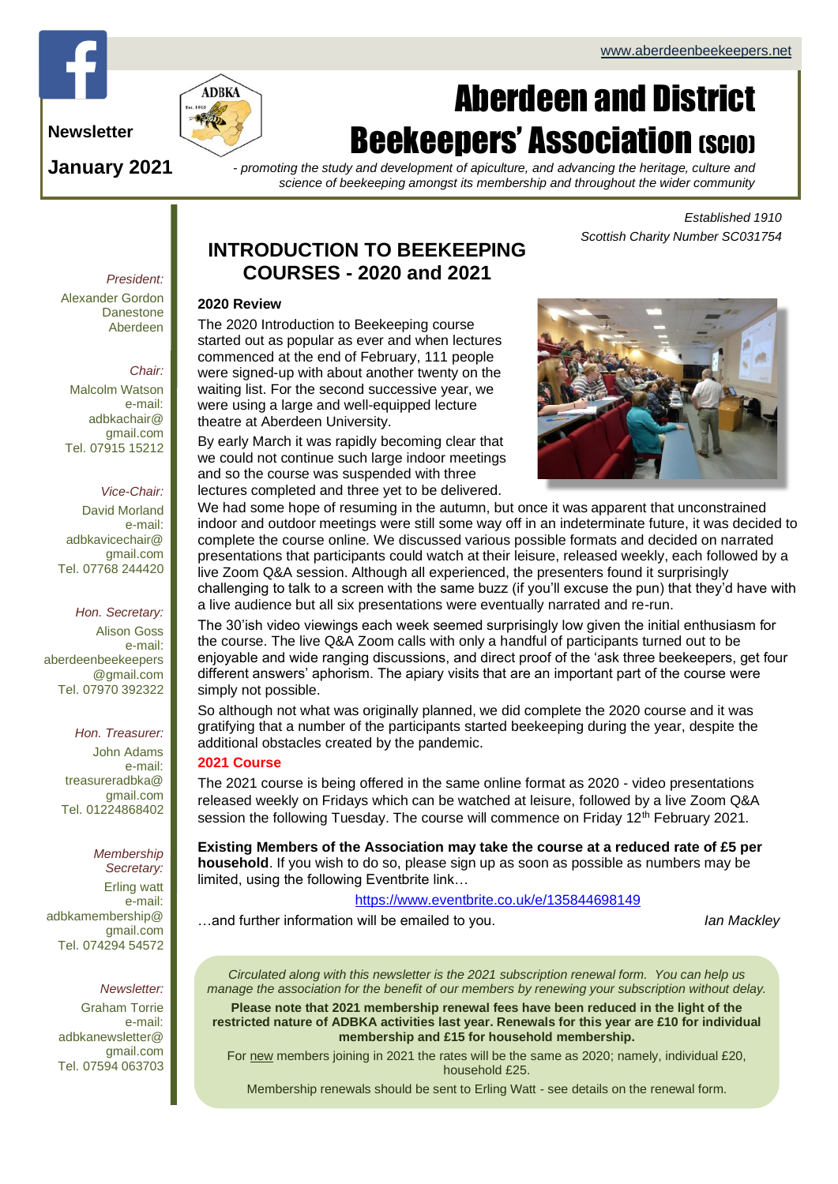

**Newsletter**

**January 2021**

# Aberdeen and District **Beekeepers' Association (SCIO)**

*- promoting the study and development of apiculture, and advancing the heritage, culture and science of beekeeping amongst its membership and throughout the wider community*

> *Established 1910 Scottish Charity Number SC031754*

#### *President:* Alexander Gordon Danestone Aberdeen

#### *Chair:*

Malcolm Watson e-mail: adbkachair@ gmail.com Tel. 07915 15212

# *Vice-Chair:*

David Morland e-mail: adbkavicechair@ gmail.com Tel. 07768 244420

#### *Hon. Secretary:*

Alison Goss e-mail: [aberdeenbeekeepers](mailto:aberdeenbeekeepers@gmail.com) [@gmail.com](mailto:aberdeenbeekeepers@gmail.com) Tel. 07970 392322

## *Hon. Treasurer:*

John Adams e-mail: treasureradbka@ gmail.com Tel. 01224868402

### *Membership*

*Secretary:*  Erling watt e-mail: adbkamembership@ gmail.com Tel. 074294 54572

#### *Newsletter:*

Graham Torrie e-mail: adbkanewsletter@ gmail.com Tel. 07594 063703

# **INTRODUCTION TO BEEKEEPING COURSES - 2020 and 2021**

#### **2020 Review**

The 2020 Introduction to Beekeeping course started out as popular as ever and when lectures commenced at the end of February, 111 people were signed-up with about another twenty on the waiting list. For the second successive year, we were using a large and well-equipped lecture theatre at Aberdeen University.

By early March it was rapidly becoming clear that we could not continue such large indoor meetings and so the course was suspended with three lectures completed and three yet to be delivered.



We had some hope of resuming in the autumn, but once it was apparent that unconstrained indoor and outdoor meetings were still some way off in an indeterminate future, it was decided to complete the course online. We discussed various possible formats and decided on narrated presentations that participants could watch at their leisure, released weekly, each followed by a live Zoom Q&A session. Although all experienced, the presenters found it surprisingly challenging to talk to a screen with the same buzz (if you'll excuse the pun) that they'd have with a live audience but all six presentations were eventually narrated and re-run.

The 30'ish video viewings each week seemed surprisingly low given the initial enthusiasm for the course. The live Q&A Zoom calls with only a handful of participants turned out to be enjoyable and wide ranging discussions, and direct proof of the 'ask three beekeepers, get four different answers' aphorism. The apiary visits that are an important part of the course were simply not possible.

So although not what was originally planned, we did complete the 2020 course and it was gratifying that a number of the participants started beekeeping during the year, despite the additional obstacles created by the pandemic.

## **2021 Course**

The 2021 course is being offered in the same online format as 2020 - video presentations released weekly on Fridays which can be watched at leisure, followed by a live Zoom Q&A session the following Tuesday. The course will commence on Friday  $12<sup>th</sup>$  February 2021.

**Existing Members of the Association may take the course at a reduced rate of £5 per household**. If you wish to do so, please sign up as soon as possible as numbers may be limited, using the following Eventbrite link…

# <https://www.eventbrite.co.uk/e/135844698149>

…and further information will be emailed to you. *Ian Mackley*

*Circulated along with this newsletter is the 2021 subscription renewal form. You can help us manage the association for the benefit of our members by renewing your subscription without delay.*

**Please note that 2021 membership renewal fees have been reduced in the light of the restricted nature of ADBKA activities last year. Renewals for this year are £10 for individual membership and £15 for household membership.**

For new members joining in 2021 the rates will be the same as 2020; namely, individual £20, household £25.

Membership renewals should be sent to Erling Watt - see details on the renewal form.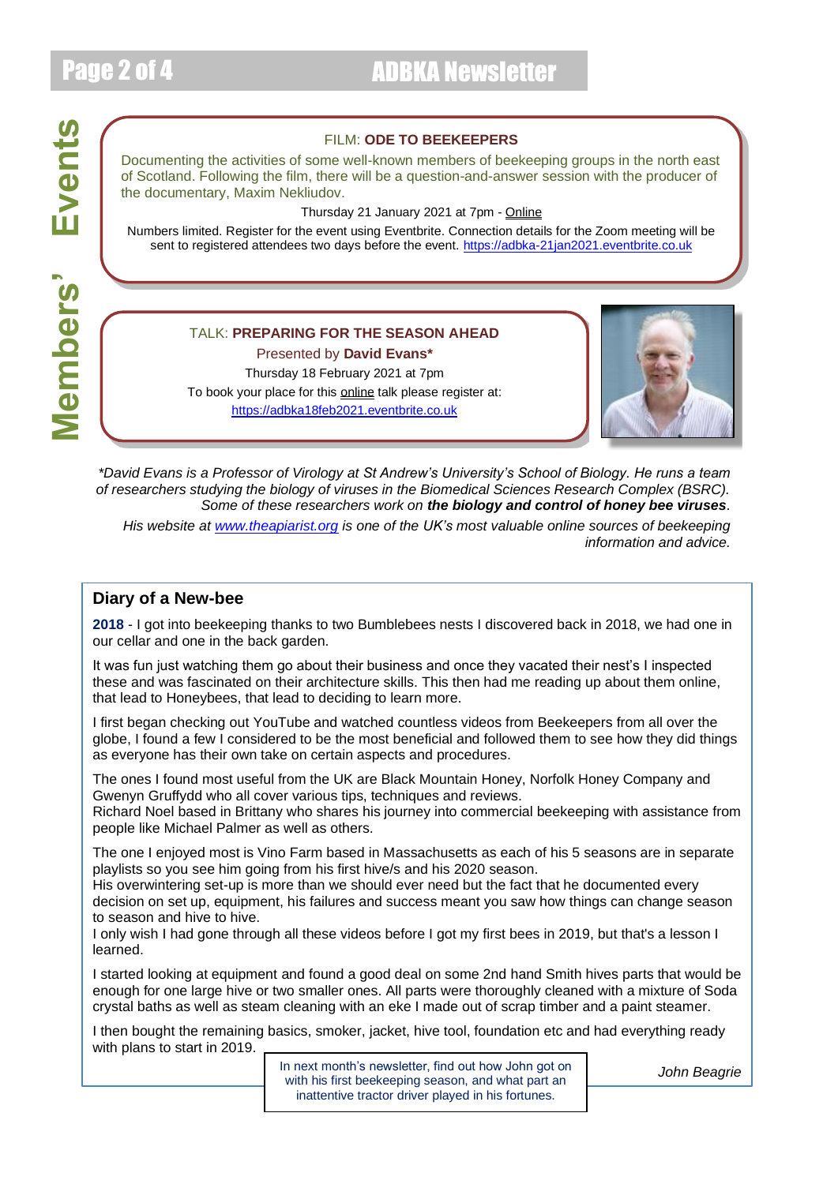# Page 2 of 4 ADBKA Newsletter

# FILM: **ODE TO BEEKEEPERS**

Documenting the activities of some well-known members of beekeeping groups in the north east of Scotland. Following the film, there will be a question-and-answer session with the producer of the documentary, Maxim Nekliudov.

Thursday 21 January 2021 at 7pm - Online

Numbers limited. Register for the event using Eventbrite. Connection details for the Zoom meeting will be sent to registered attendees two days before the event. [https://adbka-21jan2021.eventbrite.co.uk](https://adbka-21jan2021.eventbrite.co.uk/)

# TALK: **PREPARING FOR THE SEASON AHEAD**

Presented by **David Evans\***

Thursday 18 February 2021 at 7pm To book your place for this **online** talk please register at: [https://adbka18feb2021.eventbrite.co.uk](https://adbka18feb2021.eventbrite.co.uk/)



*\*David Evans is a Professor of Virology at St Andrew's University's School of Biology. He runs a team of researchers studying the biology of viruses in the Biomedical Sciences Research Complex (BSRC). Some of these researchers work on the biology and control of honey bee viruses.*

*His website at [www.theapiarist.org](http://www.theapiarist.org/) is one of the UK's most valuable online sources of beekeeping information and advice.*

# **Diary of a New-bee**

**2018** - I got into beekeeping thanks to two Bumblebees nests I discovered back in 2018, we had one in our cellar and one in the back garden.

It was fun just watching them go about their business and once they vacated their nest's I inspected these and was fascinated on their architecture skills. This then had me reading up about them online, that lead to Honeybees, that lead to deciding to learn more.

I first began checking out YouTube and watched countless videos from Beekeepers from all over the globe, I found a few I considered to be the most beneficial and followed them to see how they did things as everyone has their own take on certain aspects and procedures.

The ones I found most useful from the UK are Black Mountain Honey, Norfolk Honey Company and Gwenyn Gruffydd who all cover various tips, techniques and reviews.

Richard Noel based in Brittany who shares his journey into commercial beekeeping with assistance from people like Michael Palmer as well as others.

The one I enjoyed most is Vino Farm based in Massachusetts as each of his 5 seasons are in separate playlists so you see him going from his first hive/s and his 2020 season.

His overwintering set-up is more than we should ever need but the fact that he documented every decision on set up, equipment, his failures and success meant you saw how things can change season to season and hive to hive.

I only wish I had gone through all these videos before I got my first bees in 2019, but that's a lesson I learned.

I started looking at equipment and found a good deal on some 2nd hand Smith hives parts that would be enough for one large hive or two smaller ones. All parts were thoroughly cleaned with a mixture of Soda crystal baths as well as steam cleaning with an eke I made out of scrap timber and a paint steamer.

I then bought the remaining basics, smoker, jacket, hive tool, foundation etc and had everything ready with plans to start in 2019.

> In next month's newsletter, find out how John got on **John Beagrie** with his first beekeeping season, and what part an inattentive tractor driver played in his fortunes.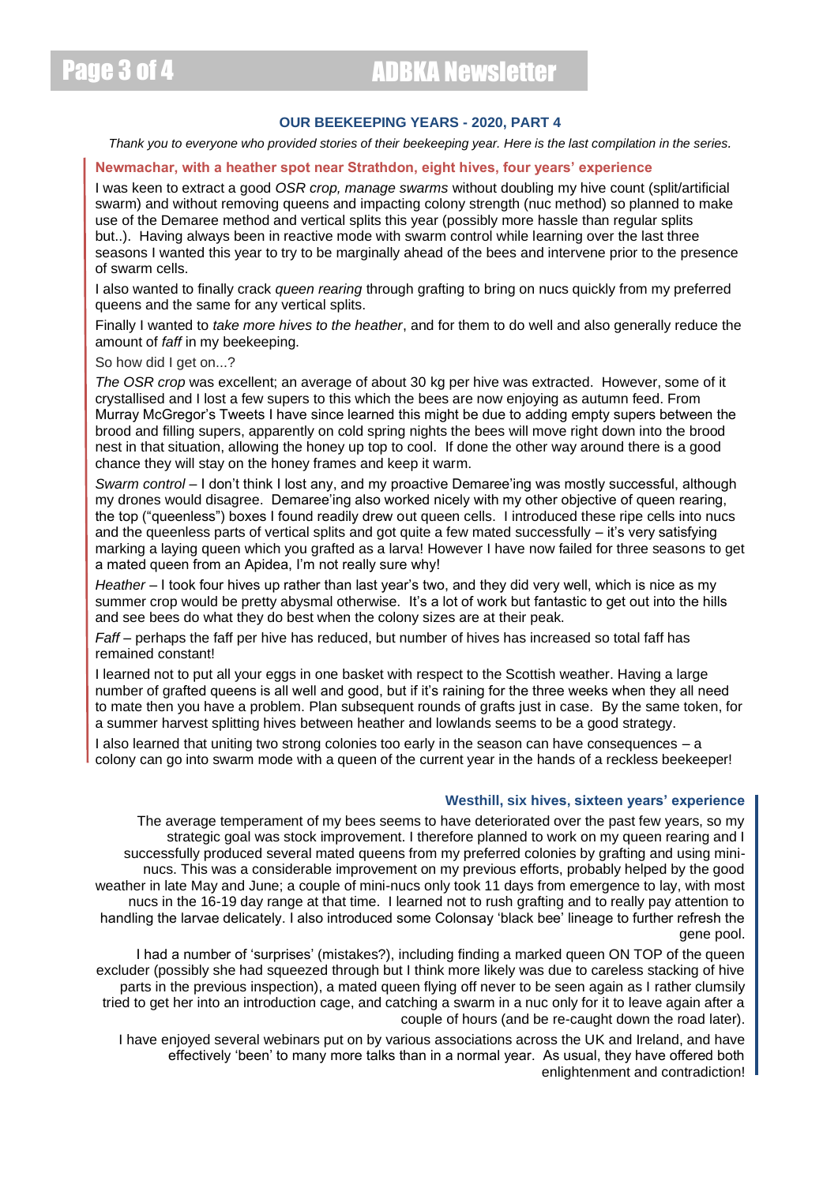# Page 3 of 4 ADBKA Newsletter

# **OUR BEEKEEPING YEARS - 2020, PART 4**

*Thank you to everyone who provided stories of their beekeeping year. Here is the last compilation in the series.*

#### **Newmachar, with a heather spot near Strathdon, eight hives, four years' experience**

I was keen to extract a good *OSR crop, manage swarms* without doubling my hive count (split/artificial swarm) and without removing queens and impacting colony strength (nuc method) so planned to make use of the Demaree method and vertical splits this year (possibly more hassle than regular splits but..). Having always been in reactive mode with swarm control while learning over the last three seasons I wanted this year to try to be marginally ahead of the bees and intervene prior to the presence of swarm cells.

I also wanted to finally crack *queen rearing* through grafting to bring on nucs quickly from my preferred queens and the same for any vertical splits.

Finally I wanted to *take more hives to the heather*, and for them to do well and also generally reduce the amount of *faff* in my beekeeping.

So how did I get on...?

*The OSR crop* was excellent; an average of about 30 kg per hive was extracted. However, some of it crystallised and I lost a few supers to this which the bees are now enjoying as autumn feed. From Murray McGregor's Tweets I have since learned this might be due to adding empty supers between the brood and filling supers, apparently on cold spring nights the bees will move right down into the brood nest in that situation, allowing the honey up top to cool. If done the other way around there is a good chance they will stay on the honey frames and keep it warm.

*Swarm control* – I don't think I lost any, and my proactive Demaree'ing was mostly successful, although my drones would disagree. Demaree'ing also worked nicely with my other objective of queen rearing, the top ("queenless") boxes I found readily drew out queen cells. I introduced these ripe cells into nucs and the queenless parts of vertical splits and got quite a few mated successfully – it's very satisfying marking a laying queen which you grafted as a larva! However I have now failed for three seasons to get a mated queen from an Apidea, I'm not really sure why!

*Heather* – I took four hives up rather than last year's two, and they did very well, which is nice as my summer crop would be pretty abysmal otherwise. It's a lot of work but fantastic to get out into the hills and see bees do what they do best when the colony sizes are at their peak.

*Faff* – perhaps the faff per hive has reduced, but number of hives has increased so total faff has remained constant!

I learned not to put all your eggs in one basket with respect to the Scottish weather. Having a large number of grafted queens is all well and good, but if it's raining for the three weeks when they all need to mate then you have a problem. Plan subsequent rounds of grafts just in case. By the same token, for a summer harvest splitting hives between heather and lowlands seems to be a good strategy.

I also learned that uniting two strong colonies too early in the season can have consequences – a colony can go into swarm mode with a queen of the current year in the hands of a reckless beekeeper!

#### **Westhill, six hives, sixteen years' experience**

The average temperament of my bees seems to have deteriorated over the past few years, so my strategic goal was stock improvement. I therefore planned to work on my queen rearing and I successfully produced several mated queens from my preferred colonies by grafting and using mininucs. This was a considerable improvement on my previous efforts, probably helped by the good weather in late May and June; a couple of mini-nucs only took 11 days from emergence to lay, with most nucs in the 16-19 day range at that time. I learned not to rush grafting and to really pay attention to handling the larvae delicately. I also introduced some Colonsay 'black bee' lineage to further refresh the gene pool.

I had a number of 'surprises' (mistakes?), including finding a marked queen ON TOP of the queen excluder (possibly she had squeezed through but I think more likely was due to careless stacking of hive parts in the previous inspection), a mated queen flying off never to be seen again as I rather clumsily tried to get her into an introduction cage, and catching a swarm in a nuc only for it to leave again after a couple of hours (and be re-caught down the road later).

I have enjoyed several webinars put on by various associations across the UK and Ireland, and have effectively 'been' to many more talks than in a normal year. As usual, they have offered both enlightenment and contradiction!